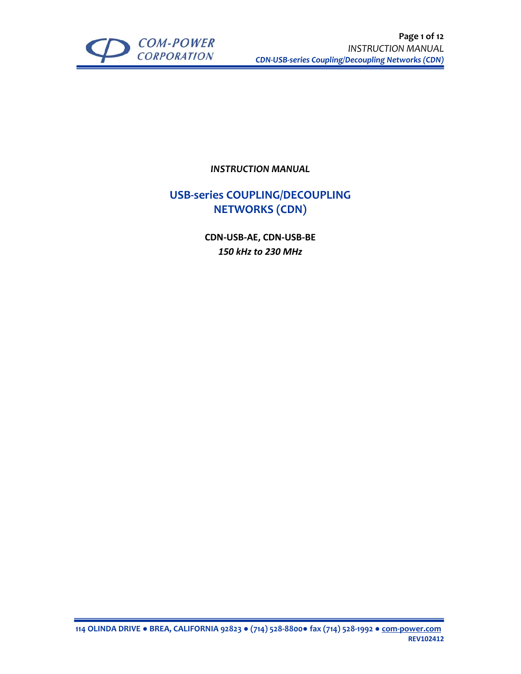

*INSTRUCTION MANUAL*

## **USB‐series COUPLING/DECOUPLING NETWORKS (CDN)**

**CDN‐USB‐AE, CDN‐USB‐BE** *150 kHz to 230 MHz*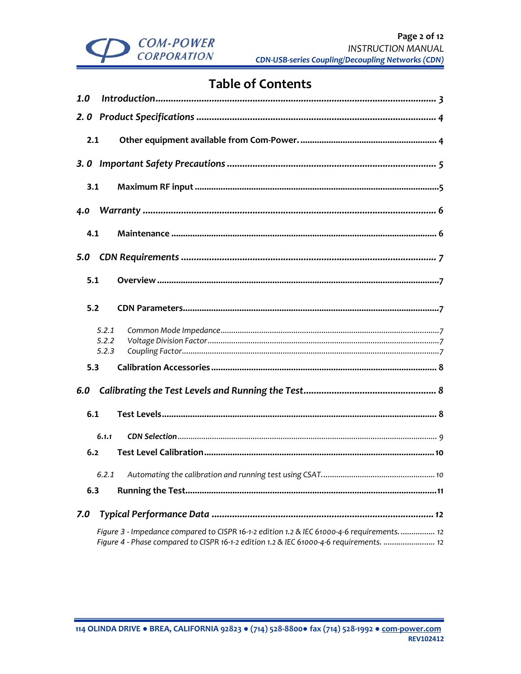

# **Table of Contents**

| 1.0 |                                                                                                                                                                                      |      |  |  |  |  |
|-----|--------------------------------------------------------------------------------------------------------------------------------------------------------------------------------------|------|--|--|--|--|
| 2.0 |                                                                                                                                                                                      |      |  |  |  |  |
| 2.1 |                                                                                                                                                                                      |      |  |  |  |  |
|     |                                                                                                                                                                                      |      |  |  |  |  |
| 3.1 |                                                                                                                                                                                      |      |  |  |  |  |
| 4.0 |                                                                                                                                                                                      |      |  |  |  |  |
| 4.1 |                                                                                                                                                                                      |      |  |  |  |  |
| 5.0 |                                                                                                                                                                                      |      |  |  |  |  |
| 5.1 |                                                                                                                                                                                      |      |  |  |  |  |
| 5.2 |                                                                                                                                                                                      |      |  |  |  |  |
|     | 5.2.1<br>5.2.2<br>5.2.3                                                                                                                                                              |      |  |  |  |  |
| 5.3 |                                                                                                                                                                                      |      |  |  |  |  |
| 6.0 |                                                                                                                                                                                      |      |  |  |  |  |
| 6.1 |                                                                                                                                                                                      |      |  |  |  |  |
|     | 6.1.1                                                                                                                                                                                |      |  |  |  |  |
| 6.2 |                                                                                                                                                                                      |      |  |  |  |  |
|     |                                                                                                                                                                                      | . 10 |  |  |  |  |
| 6.3 |                                                                                                                                                                                      |      |  |  |  |  |
| 7.0 |                                                                                                                                                                                      |      |  |  |  |  |
|     | Figure 3 - Impedance compared to CISPR 16-1-2 edition 1.2 & IEC 61000-4-6 requirements 12<br>Figure 4 - Phase compared to CISPR 16-1-2 edition 1.2 & IEC 61000-4-6 requirements.  12 |      |  |  |  |  |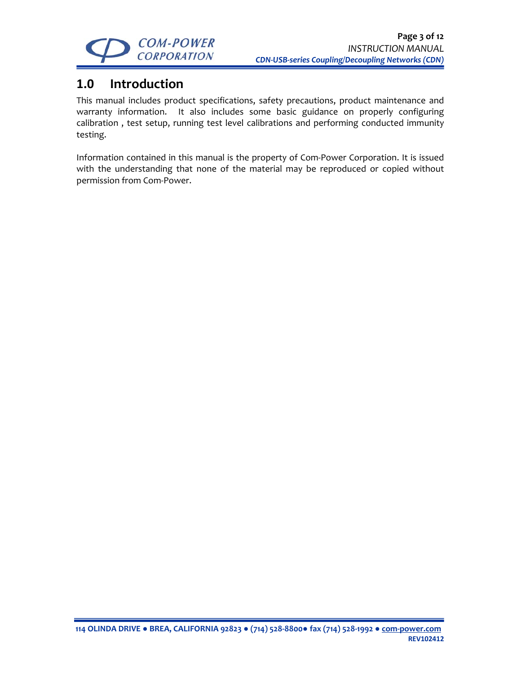

# **1.0 Introduction**

This manual includes product specifications, safety precautions, product maintenance and warranty information. It also includes some basic guidance on properly configuring calibration , test setup, running test level calibrations and performing conducted immunity testing.

Information contained in this manual is the property of Com‐Power Corporation. It is issued with the understanding that none of the material may be reproduced or copied without permission from Com‐Power.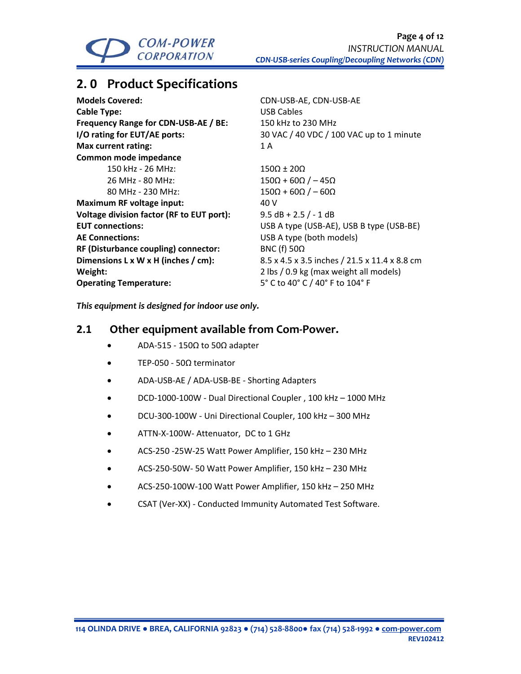

# **2. 0 Product Specifications**

| <b>Models Covered:</b>                    | <b>CDN-USE</b>    |
|-------------------------------------------|-------------------|
| <b>Cable Type:</b>                        | USB Cab           |
| Frequency Range for CDN-USB-AE / BE:      | 150 kHz           |
| I/O rating for EUT/AE ports:              | 30 VAC /          |
| <b>Max current rating:</b>                | 1A                |
| <b>Common mode impedance</b>              |                   |
| 150 kHz - 26 MHz:                         | $150\Omega \pm 2$ |
| 26 MHz - 80 MHz:                          | $150\Omega + 6$   |
| 80 MHz - 230 MHz:                         | $150\Omega + 6$   |
| <b>Maximum RF voltage input:</b>          | 40 V              |
| Voltage division factor (RF to EUT port): | $9.5 dB +$        |
| <b>EUT connections:</b>                   | USB A ty          |
| <b>AE Connections:</b>                    | USB A ty          |
| RF (Disturbance coupling) connector:      | <b>BNC (f) 5</b>  |
| Dimensions L x W x H (inches / cm):       | $8.5 \times 4.5$  |
| Weight:                                   | $2$ lbs $/ 0$ .   |
| <b>Operating Temperature:</b>             | 5° C to 4         |
|                                           |                   |

**Models Covered:** CDN‐USB‐AE, CDN‐USB‐AE **USB Cables Frequency Range for CDN‐USB‐AE / BE:** 150 kHz to 230 MHz **I/O rating for EUT/AE ports:** 30 VAC / 40 VDC / 100 VAC up to 1 minute

 $150\Omega \pm 20\Omega$  $150\Omega + 60\Omega$  / – 45 $\Omega$  $150\Omega + 60\Omega$  / – 60 $\Omega$ **Voltage division factor (RF to EUT port):** 9.5 dB + 2.5 / ‐ 1 dB **USB A type (USB-AE), USB B type (USB-BE) USB A type (both models) BNC (f) 50Ω Dimensions L x W x H (inches / cm):** 8.5 x 4.5 x 3.5 inches / 21.5 x 11.4 x 8.8 cm **Weight:** 2 lbs / 0.9 kg (max weight all models) **Operating Temperature:** 5° C to 40° C / 40° F to 104° F

*This equipment is designed for indoor use only.*

### **2.1 Other equipment available from Com‐Power.**

- ADA‐515 ‐ 150Ω to 50Ω adapter
- TEP‐050 ‐ 50Ω terminator
- ADA‐USB‐AE / ADA‐USB‐BE ‐ Shorting Adapters
- DCD‐1000‐100W ‐ Dual Directional Coupler , 100 kHz 1000 MHz
- DCU‐300‐100W ‐ Uni Directional Coupler, 100 kHz 300 MHz
- ATTN‐X‐100W‐ Attenuator, DC to 1 GHz
- ACS‐250 ‐25W‐25 Watt Power Amplifier, 150 kHz 230 MHz
- ACS‐250‐50W‐ 50 Watt Power Amplifier, 150 kHz 230 MHz
- ACS‐250‐100W‐100 Watt Power Amplifier, 150 kHz 250 MHz
- CSAT (Ver‐XX) ‐ Conducted Immunity Automated Test Software.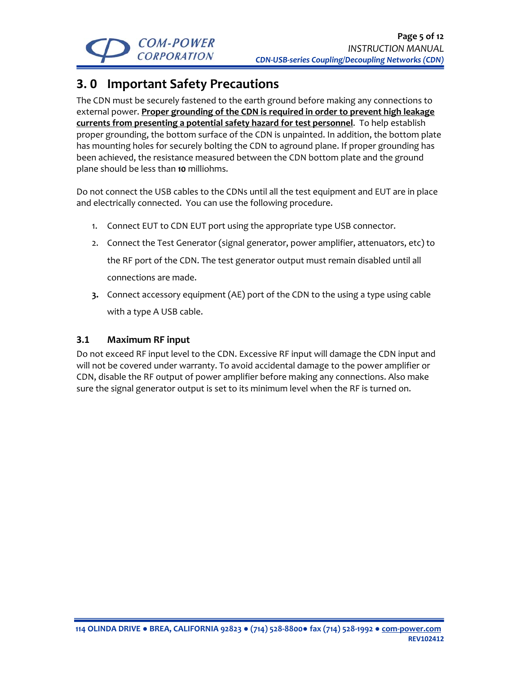

# **3. 0 Important Safety Precautions**

The CDN must be securely fastened to the earth ground before making any connections to external power. **Proper grounding of the CDN is required in order to prevent high leakage currents from presenting a potential safety hazard for test personnel**. To help establish proper grounding, the bottom surface of the CDN is unpainted. In addition, the bottom plate has mounting holes for securely bolting the CDN to aground plane. If proper grounding has been achieved, the resistance measured between the CDN bottom plate and the ground plane should be less than **10** milliohms.

Do not connect the USB cables to the CDNs until all the test equipment and EUT are in place and electrically connected. You can use the following procedure.

- 1. Connect EUT to CDN EUT port using the appropriate type USB connector.
- 2. Connect the Test Generator (signal generator, power amplifier, attenuators, etc) to the RF port of the CDN. The test generator output must remain disabled until all connections are made.
- **3.** Connect accessory equipment (AE) port of the CDN to the using a type using cable with a type A USB cable.

### **3.1 Maximum RF input**

Do not exceed RF input level to the CDN. Excessive RF input will damage the CDN input and will not be covered under warranty. To avoid accidental damage to the power amplifier or CDN, disable the RF output of power amplifier before making any connections. Also make sure the signal generator output is set to its minimum level when the RF is turned on.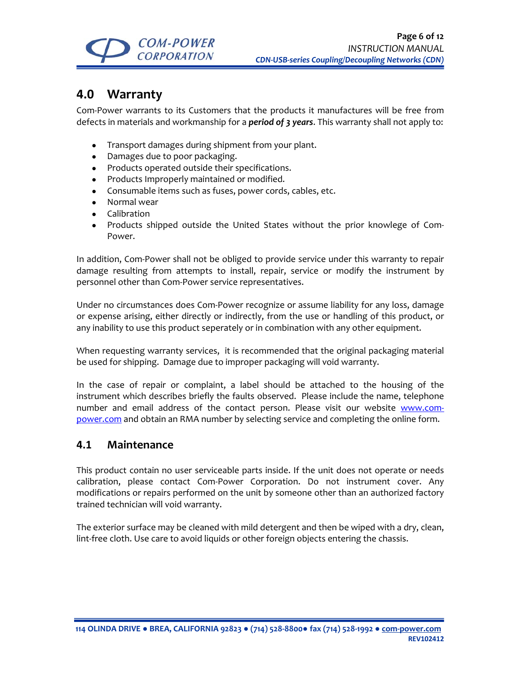

## **4.0 Warranty**

Com‐Power warrants to its Customers that the products it manufactures will be free from defects in materials and workmanship for a *period of 3 years*. This warranty shall not apply to:

- Transport damages during shipment from your plant.
- Damages due to poor packaging.
- Products operated outside their specifications.
- Products Improperly maintained or modified.
- Consumable items such as fuses, power cords, cables, etc.
- Normal wear
- Calibration
- Products shipped outside the United States without the prior knowlege of Com-Power.

In addition, Com‐Power shall not be obliged to provide service under this warranty to repair damage resulting from attempts to install, repair, service or modify the instrument by personnel other than Com‐Power service representatives.

Under no circumstances does Com‐Power recognize or assume liability for any loss, damage or expense arising, either directly or indirectly, from the use or handling of this product, or any inability to use this product seperately or in combination with any other equipment.

When requesting warranty services, it is recommended that the original packaging material be used for shipping. Damage due to improper packaging will void warranty.

In the case of repair or complaint, a label should be attached to the housing of the instrument which describes briefly the faults observed. Please include the name, telephone number and email address of the contact person. Please visit our website www.compower.com and obtain an RMA number by selecting service and completing the online form.

### **4.1 Maintenance**

This product contain no user serviceable parts inside. If the unit does not operate or needs calibration, please contact Com‐Power Corporation. Do not instrument cover. Any modifications or repairs performed on the unit by someone other than an authorized factory trained technician will void warranty.

The exterior surface may be cleaned with mild detergent and then be wiped with a dry, clean, lint‐free cloth. Use care to avoid liquids or other foreign objects entering the chassis.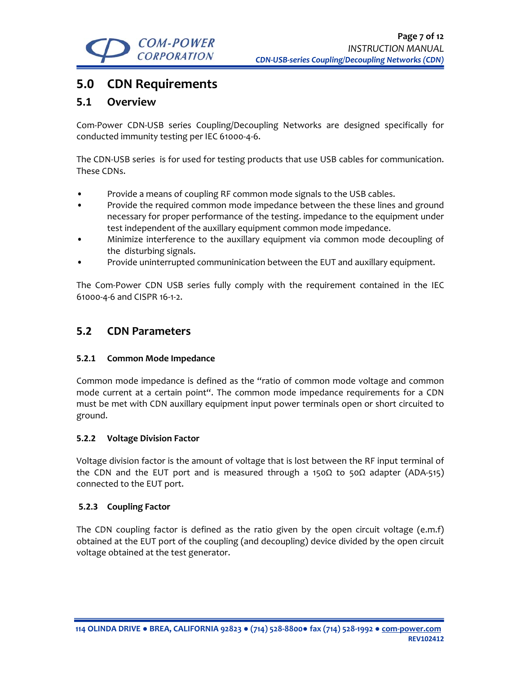

## **5.0 CDN Requirements**

### **5.1 Overview**

Com‐Power CDN‐USB series Coupling/Decoupling Networks are designed specifically for conducted immunity testing per IEC 61000‐4‐6.

The CDN-USB series is for used for testing products that use USB cables for communication. These CDNs.

- Provide a means of coupling RF common mode signals to the USB cables.
- Provide the required common mode impedance between the these lines and ground necessary for proper performance of the testing. impedance to the equipment under test independent of the auxillary equipment common mode impedance.
- Minimize interference to the auxillary equipment via common mode decoupling of the disturbing signals.
- Provide uninterrupted communinication between the EUT and auxillary equipment.

The Com-Power CDN USB series fully comply with the requirement contained in the IEC 61000‐4‐6 and CISPR 16‐1‐2.

### **5.2 CDN Parameters**

#### **5.2.1 Common Mode Impedance**

Common mode impedance is defined as the "ratio of common mode voltage and common mode current at a certain point". The common mode impedance requirements for a CDN must be met with CDN auxillary equipment input power terminals open or short circuited to ground.

#### **5.2.2 Voltage Division Factor**

Voltage division factor is the amount of voltage that is lost between the RF input terminal of the CDN and the EUT port and is measured through a 150 $\Omega$  to 50 $\Omega$  adapter (ADA-515) connected to the EUT port.

#### **5.2.3 Coupling Factor**

The CDN coupling factor is defined as the ratio given by the open circuit voltage (e.m.f) obtained at the EUT port of the coupling (and decoupling) device divided by the open circuit voltage obtained at the test generator.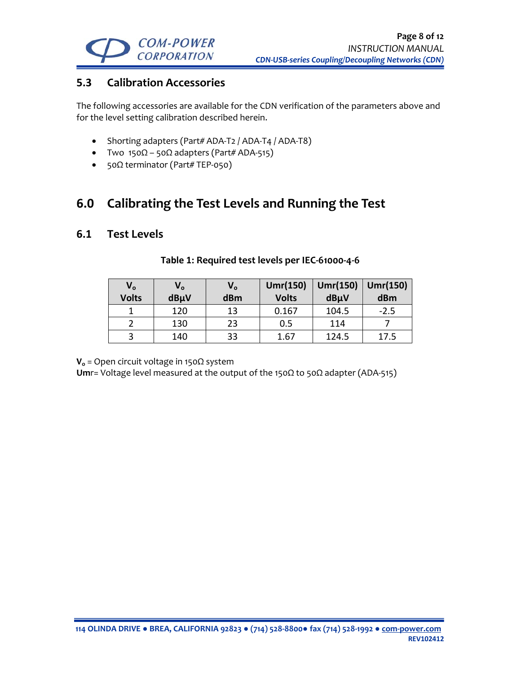

## **5.3 Calibration Accessories**

The following accessories are available for the CDN verification of the parameters above and for the level setting calibration described herein.

- Shorting adapters (Part# ADA-T2 / ADA-T4 / ADA-T8)
- Two  $150\Omega 50\Omega$  adapters (Part# ADA-515)
- 50Ω terminator (Part# TEP-050)

## **6.0 Calibrating the Test Levels and Running the Test**

### **6.1 Test Levels**

| $V_{o}$      | $V_{o}$ | V。  | Umr(150)     | Umr(150) | Umr(150) |
|--------------|---------|-----|--------------|----------|----------|
| <b>Volts</b> | dBµV    | dBm | <b>Volts</b> | dBµV     | dBm      |
|              | 120     | 13  | 0.167        | 104.5    | $-2.5$   |
|              | 130     | 23  | 0.5          | 114      |          |
|              | 140     | 33  | 1.67         | 124.5    | 17.5     |

#### **Table 1: Required test levels per IEC‐61000‐4‐6**

**Vo** = Open circuit voltage in 150Ω system

**Um**r= Voltage level measured at the output of the 150Ω to 50Ω adapter (ADA‐515)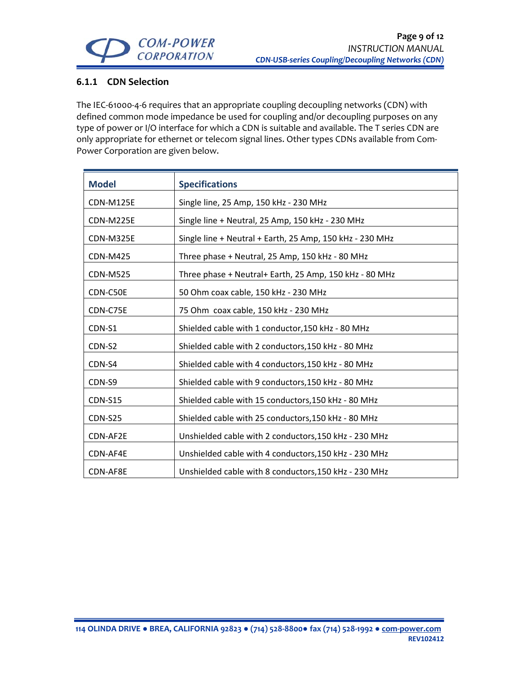

### **6.1.1 CDN Selection**

The IEC-61000-4-6 requires that an appropriate coupling decoupling networks (CDN) with defined common mode impedance be used for coupling and/or decoupling purposes on any type of power or I/O interface for which a CDN is suitable and available. The T series CDN are only appropriate for ethernet or telecom signal lines. Other types CDNs available from Com‐ Power Corporation are given below.

| <b>Model</b>     | <b>Specifications</b>                                    |  |  |  |
|------------------|----------------------------------------------------------|--|--|--|
| <b>CDN-M125E</b> | Single line, 25 Amp, 150 kHz - 230 MHz                   |  |  |  |
| CDN-M225E        | Single line + Neutral, 25 Amp, 150 kHz - 230 MHz         |  |  |  |
| CDN-M325E        | Single line + Neutral + Earth, 25 Amp, 150 kHz - 230 MHz |  |  |  |
| <b>CDN-M425</b>  | Three phase + Neutral, 25 Amp, 150 kHz - 80 MHz          |  |  |  |
| <b>CDN-M525</b>  | Three phase + Neutral+ Earth, 25 Amp, 150 kHz - 80 MHz   |  |  |  |
| CDN-C50E         | 50 Ohm coax cable, 150 kHz - 230 MHz                     |  |  |  |
| CDN-C75E         | 75 Ohm coax cable, 150 kHz - 230 MHz                     |  |  |  |
| CDN-S1           | Shielded cable with 1 conductor, 150 kHz - 80 MHz        |  |  |  |
| CDN-S2           | Shielded cable with 2 conductors, 150 kHz - 80 MHz       |  |  |  |
| CDN-S4           | Shielded cable with 4 conductors, 150 kHz - 80 MHz       |  |  |  |
| CDN-S9           | Shielded cable with 9 conductors, 150 kHz - 80 MHz       |  |  |  |
| <b>CDN-S15</b>   | Shielded cable with 15 conductors, 150 kHz - 80 MHz      |  |  |  |
| <b>CDN-S25</b>   | Shielded cable with 25 conductors, 150 kHz - 80 MHz      |  |  |  |
| CDN-AF2E         | Unshielded cable with 2 conductors, 150 kHz - 230 MHz    |  |  |  |
| CDN-AF4E         | Unshielded cable with 4 conductors, 150 kHz - 230 MHz    |  |  |  |
| CDN-AF8E         | Unshielded cable with 8 conductors, 150 kHz - 230 MHz    |  |  |  |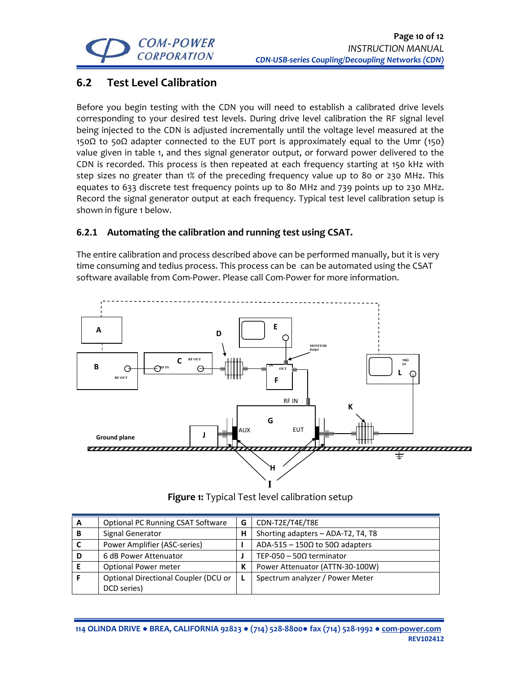

## **6.2 Test Level Calibration**

Before you begin testing with the CDN you will need to establish a calibrated drive levels corresponding to your desired test levels. During drive level calibration the RF signal level being injected to the CDN is adjusted incrementally until the voltage level measured at the 150Ω to 50Ω adapter connected to the EUT port is approximately equal to the Umr (150) value given in table 1, and thes signal generator output, or forward power delivered to the CDN is recorded. This process is then repeated at each frequency starting at 150 kHz with step sizes no greater than 1% of the preceding frequency value up to 80 or 230 MHz. This equates to 633 discrete test frequency points up to 80 MHz and 739 points up to 230 MHz. Record the signal generator output at each frequency. Typical test level calibration setup is shown in figure 1 below.

### **6.2.1 Automating the calibration and running test using CSAT.**

The entire calibration and process described above can be performed manually, but it is very time consuming and tedius process. This process can be can be automated using the CSAT software available from Com‐Power. Please call Com‐Power for more information.



**Figure 1:** Typical Test level calibration setup

| A | <b>Optional PC Running CSAT Software</b> | G | CDN-T2E/T4E/T8E                                |
|---|------------------------------------------|---|------------------------------------------------|
| в | Signal Generator                         | Н | Shorting adapters - ADA-T2, T4, T8             |
|   | Power Amplifier (ASC-series)             |   | ADA-515 - 150 $\Omega$ to 50 $\Omega$ adapters |
| D | 6 dB Power Attenuator                    |   | TEP-050 - 50 $\Omega$ terminator               |
|   | <b>Optional Power meter</b>              | К | Power Attenuator (ATTN-30-100W)                |
|   | Optional Directional Coupler (DCU or     |   | Spectrum analyzer / Power Meter                |
|   | DCD series)                              |   |                                                |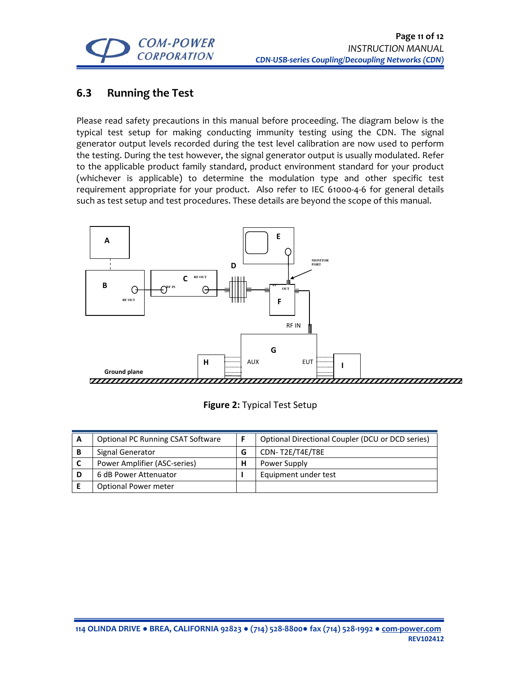

## **6.3 Running the Test**

Please read safety precautions in this manual before proceeding. The diagram below is the typical test setup for making conducting immunity testing using the CDN. The signal generator output levels recorded during the test level calibration are now used to perform the testing. During the test however, the signal generator output is usually modulated. Refer to the applicable product family standard, product environment standard for your product (whichever is applicable) to determine the modulation type and other specific test requirement appropriate for your product. Also refer to IEC 61000‐4‐6 for general details such as test setup and test procedures. These details are beyond the scope of this manual.



|  |  | Figure 2: Typical Test Setup |  |  |
|--|--|------------------------------|--|--|
|--|--|------------------------------|--|--|

| А | <b>Optional PC Running CSAT Software</b> |   | Optional Directional Coupler (DCU or DCD series) |
|---|------------------------------------------|---|--------------------------------------------------|
|   | Signal Generator                         | G | CDN-T2E/T4E/T8E                                  |
|   | Power Amplifier (ASC-series)             | н | Power Supply                                     |
|   | 6 dB Power Attenuator                    |   | Equipment under test                             |
|   | Optional Power meter                     |   |                                                  |